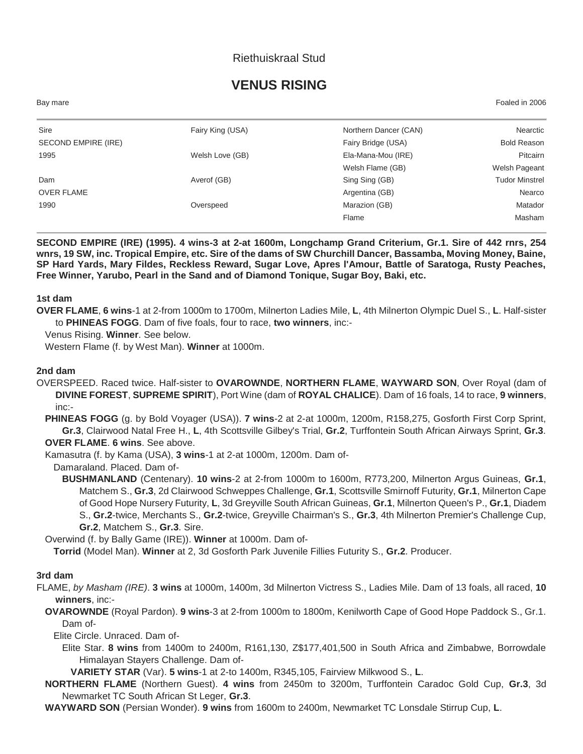# Riethuiskraal Stud

# **VENUS RISING**

Bay mare Foaled in 2006

| Sire                | Fairy King (USA) | Northern Dancer (CAN) | Nearctic              |
|---------------------|------------------|-----------------------|-----------------------|
| SECOND EMPIRE (IRE) |                  | Fairy Bridge (USA)    | <b>Bold Reason</b>    |
| 1995                | Welsh Love (GB)  | Ela-Mana-Mou (IRE)    | Pitcairn              |
|                     |                  | Welsh Flame (GB)      | Welsh Pageant         |
| Dam                 | Averof (GB)      | Sing Sing (GB)        | <b>Tudor Minstrel</b> |
| <b>OVER FLAME</b>   |                  | Argentina (GB)        | Nearco                |
| 1990                | Overspeed        | Marazion (GB)         | Matador               |
|                     |                  | Flame                 | Masham                |

**SECOND EMPIRE (IRE) (1995). 4 wins-3 at 2-at 1600m, Longchamp Grand Criterium, Gr.1. Sire of 442 rnrs, 254 wnrs, 19 SW, inc. Tropical Empire, etc. Sire of the dams of SW Churchill Dancer, Bassamba, Moving Money, Baine, SP Hard Yards, Mary Fildes, Reckless Reward, Sugar Love, Apres l'Amour, Battle of Saratoga, Rusty Peaches, Free Winner, Yarubo, Pearl in the Sand and of Diamond Tonique, Sugar Boy, Baki, etc.**

**1st dam**

**OVER FLAME**, **6 wins**-1 at 2-from 1000m to 1700m, Milnerton Ladies Mile, **L**, 4th Milnerton Olympic Duel S., **L**. Half-sister to **PHINEAS FOGG**. Dam of five foals, four to race, **two winners**, inc:-

Venus Rising. **Winner**. See below.

Western Flame (f. by West Man). **Winner** at 1000m.

#### **2nd dam**

OVERSPEED. Raced twice. Half-sister to **OVAROWNDE**, **NORTHERN FLAME**, **WAYWARD SON**, Over Royal (dam of **DIVINE FOREST**, **SUPREME SPIRIT**), Port Wine (dam of **ROYAL CHALICE**). Dam of 16 foals, 14 to race, **9 winners**, inc:-

**PHINEAS FOGG** (g. by Bold Voyager (USA)). **7 wins**-2 at 2-at 1000m, 1200m, R158,275, Gosforth First Corp Sprint, **Gr.3**, Clairwood Natal Free H., **L**, 4th Scottsville Gilbey's Trial, **Gr.2**, Turffontein South African Airways Sprint, **Gr.3**. **OVER FLAME**. **6 wins**. See above.

Kamasutra (f. by Kama (USA), **3 wins**-1 at 2-at 1000m, 1200m. Dam of-

Damaraland. Placed. Dam of-

**BUSHMANLAND** (Centenary). **10 wins**-2 at 2-from 1000m to 1600m, R773,200, Milnerton Argus Guineas, **Gr.1**, Matchem S., **Gr.3**, 2d Clairwood Schweppes Challenge, **Gr.1**, Scottsville Smirnoff Futurity, **Gr.1**, Milnerton Cape of Good Hope Nursery Futurity, **L**, 3d Greyville South African Guineas, **Gr.1**, Milnerton Queen's P., **Gr.1**, Diadem S., **Gr.2**-twice, Merchants S., **Gr.2**-twice, Greyville Chairman's S., **Gr.3**, 4th Milnerton Premier's Challenge Cup, **Gr.2**, Matchem S., **Gr.3**. Sire.

Overwind (f. by Bally Game (IRE)). **Winner** at 1000m. Dam of-

**Torrid** (Model Man). **Winner** at 2, 3d Gosforth Park Juvenile Fillies Futurity S., **Gr.2**. Producer.

#### **3rd dam**

FLAME, *by Masham (IRE)*. **3 wins** at 1000m, 1400m, 3d Milnerton Victress S., Ladies Mile. Dam of 13 foals, all raced, **10 winners**, inc:-

**OVAROWNDE** (Royal Pardon). **9 wins**-3 at 2-from 1000m to 1800m, Kenilworth Cape of Good Hope Paddock S., Gr.1. Dam of-

Elite Circle. Unraced. Dam of-

Elite Star. **8 wins** from 1400m to 2400m, R161,130, Z\$177,401,500 in South Africa and Zimbabwe, Borrowdale Himalayan Stayers Challenge. Dam of-

**VARIETY STAR** (Var). **5 wins**-1 at 2-to 1400m, R345,105, Fairview Milkwood S., **L**.

**NORTHERN FLAME** (Northern Guest). **4 wins** from 2450m to 3200m, Turffontein Caradoc Gold Cup, **Gr.3**, 3d Newmarket TC South African St Leger, **Gr.3**.

**WAYWARD SON** (Persian Wonder). **9 wins** from 1600m to 2400m, Newmarket TC Lonsdale Stirrup Cup, **L**.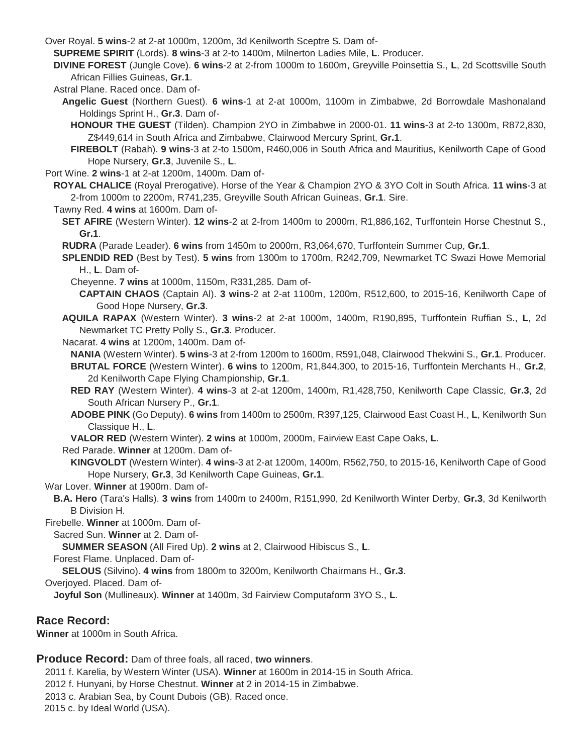Over Royal. **5 wins**-2 at 2-at 1000m, 1200m, 3d Kenilworth Sceptre S. Dam of-

**SUPREME SPIRIT** (Lords). **8 wins**-3 at 2-to 1400m, Milnerton Ladies Mile, **L**. Producer.

**DIVINE FOREST** (Jungle Cove). **6 wins**-2 at 2-from 1000m to 1600m, Greyville Poinsettia S., **L**, 2d Scottsville South African Fillies Guineas, **Gr.1**.

Astral Plane. Raced once. Dam of-

- **Angelic Guest** (Northern Guest). **6 wins**-1 at 2-at 1000m, 1100m in Zimbabwe, 2d Borrowdale Mashonaland Holdings Sprint H., **Gr.3**. Dam of-
	- **HONOUR THE GUEST** (Tilden). Champion 2YO in Zimbabwe in 2000-01. **11 wins**-3 at 2-to 1300m, R872,830, Z\$449,614 in South Africa and Zimbabwe, Clairwood Mercury Sprint, **Gr.1**.

**FIREBOLT** (Rabah). **9 wins**-3 at 2-to 1500m, R460,006 in South Africa and Mauritius, Kenilworth Cape of Good Hope Nursery, **Gr.3**, Juvenile S., **L**.

Port Wine. **2 wins**-1 at 2-at 1200m, 1400m. Dam of-

**ROYAL CHALICE** (Royal Prerogative). Horse of the Year & Champion 2YO & 3YO Colt in South Africa. **11 wins**-3 at 2-from 1000m to 2200m, R741,235, Greyville South African Guineas, **Gr.1**. Sire.

Tawny Red. **4 wins** at 1600m. Dam of-

- **SET AFIRE** (Western Winter). **12 wins**-2 at 2-from 1400m to 2000m, R1,886,162, Turffontein Horse Chestnut S., **Gr.1**.
- **RUDRA** (Parade Leader). **6 wins** from 1450m to 2000m, R3,064,670, Turffontein Summer Cup, **Gr.1**.
- **SPLENDID RED** (Best by Test). **5 wins** from 1300m to 1700m, R242,709, Newmarket TC Swazi Howe Memorial H., **L**. Dam of-
	- Cheyenne. **7 wins** at 1000m, 1150m, R331,285. Dam of-
		- **CAPTAIN CHAOS** (Captain Al). **3 wins**-2 at 2-at 1100m, 1200m, R512,600, to 2015-16, Kenilworth Cape of Good Hope Nursery, **Gr.3**.
- **AQUILA RAPAX** (Western Winter). **3 wins**-2 at 2-at 1000m, 1400m, R190,895, Turffontein Ruffian S., **L**, 2d Newmarket TC Pretty Polly S., **Gr.3**. Producer.

Nacarat. **4 wins** at 1200m, 1400m. Dam of-

**NANIA** (Western Winter). **5 wins**-3 at 2-from 1200m to 1600m, R591,048, Clairwood Thekwini S., **Gr.1**. Producer. **BRUTAL FORCE** (Western Winter). **6 wins** to 1200m, R1,844,300, to 2015-16, Turffontein Merchants H., **Gr.2**, 2d Kenilworth Cape Flying Championship, **Gr.1**.

- **RED RAY** (Western Winter). **4 wins**-3 at 2-at 1200m, 1400m, R1,428,750, Kenilworth Cape Classic, **Gr.3**, 2d South African Nursery P., **Gr.1**.
- **ADOBE PINK** (Go Deputy). **6 wins** from 1400m to 2500m, R397,125, Clairwood East Coast H., **L**, Kenilworth Sun Classique H., **L**.
- **VALOR RED** (Western Winter). **2 wins** at 1000m, 2000m, Fairview East Cape Oaks, **L**.

Red Parade. **Winner** at 1200m. Dam of-

**KINGVOLDT** (Western Winter). **4 wins**-3 at 2-at 1200m, 1400m, R562,750, to 2015-16, Kenilworth Cape of Good Hope Nursery, **Gr.3**, 3d Kenilworth Cape Guineas, **Gr.1**.

### War Lover. **Winner** at 1900m. Dam of-

**B.A. Hero** (Tara's Halls). **3 wins** from 1400m to 2400m, R151,990, 2d Kenilworth Winter Derby, **Gr.3**, 3d Kenilworth B Division H.

Firebelle. **Winner** at 1000m. Dam of-

Sacred Sun. **Winner** at 2. Dam of-

**SUMMER SEASON** (All Fired Up). **2 wins** at 2, Clairwood Hibiscus S., **L**.

Forest Flame. Unplaced. Dam of-

**SELOUS** (Silvino). **4 wins** from 1800m to 3200m, Kenilworth Chairmans H., **Gr.3**.

Overjoyed. Placed. Dam of-

**Joyful Son** (Mullineaux). **Winner** at 1400m, 3d Fairview Computaform 3YO S., **L**.

## **Race Record:**

**Winner** at 1000m in South Africa.

## **Produce Record:** Dam of three foals, all raced, **two winners**.

2011 f. Karelia, by Western Winter (USA). **Winner** at 1600m in 2014-15 in South Africa. 2012 f. Hunyani, by Horse Chestnut. **Winner** at 2 in 2014-15 in Zimbabwe. 2013 c. Arabian Sea, by Count Dubois (GB). Raced once. 2015 c. by Ideal World (USA).